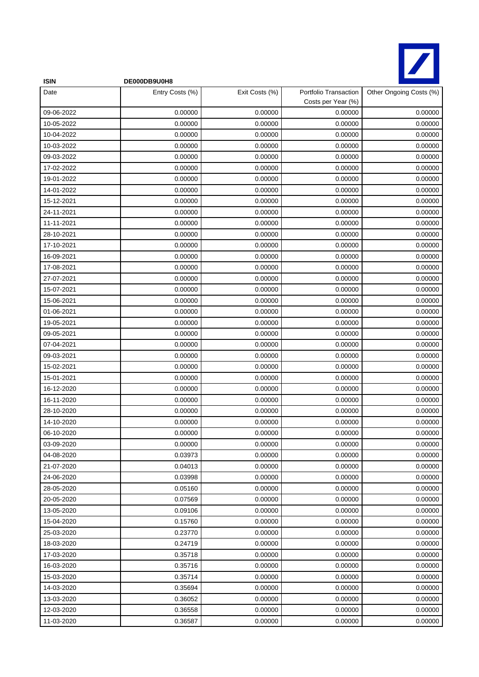

| <b>ISIN</b> | DE000DB9U0H8    |                |                                             |                         |
|-------------|-----------------|----------------|---------------------------------------------|-------------------------|
| Date        | Entry Costs (%) | Exit Costs (%) | Portfolio Transaction<br>Costs per Year (%) | Other Ongoing Costs (%) |
| 09-06-2022  | 0.00000         | 0.00000        | 0.00000                                     | 0.00000                 |
| 10-05-2022  | 0.00000         | 0.00000        | 0.00000                                     | 0.00000                 |
| 10-04-2022  | 0.00000         | 0.00000        | 0.00000                                     | 0.00000                 |
| 10-03-2022  | 0.00000         | 0.00000        | 0.00000                                     | 0.00000                 |
| 09-03-2022  | 0.00000         | 0.00000        | 0.00000                                     | 0.00000                 |
| 17-02-2022  | 0.00000         | 0.00000        | 0.00000                                     | 0.00000                 |
| 19-01-2022  | 0.00000         | 0.00000        | 0.00000                                     | 0.00000                 |
| 14-01-2022  | 0.00000         | 0.00000        | 0.00000                                     | 0.00000                 |
| 15-12-2021  | 0.00000         | 0.00000        | 0.00000                                     | 0.00000                 |
| 24-11-2021  | 0.00000         | 0.00000        | 0.00000                                     | 0.00000                 |
| 11-11-2021  | 0.00000         | 0.00000        | 0.00000                                     | 0.00000                 |
| 28-10-2021  | 0.00000         | 0.00000        | 0.00000                                     | 0.00000                 |
| 17-10-2021  | 0.00000         | 0.00000        | 0.00000                                     | 0.00000                 |
| 16-09-2021  | 0.00000         | 0.00000        | 0.00000                                     | 0.00000                 |
| 17-08-2021  | 0.00000         | 0.00000        | 0.00000                                     | 0.00000                 |
| 27-07-2021  | 0.00000         | 0.00000        | 0.00000                                     | 0.00000                 |
| 15-07-2021  | 0.00000         | 0.00000        | 0.00000                                     | 0.00000                 |
| 15-06-2021  | 0.00000         | 0.00000        | 0.00000                                     | 0.00000                 |
| 01-06-2021  | 0.00000         | 0.00000        | 0.00000                                     | 0.00000                 |
| 19-05-2021  | 0.00000         | 0.00000        | 0.00000                                     | 0.00000                 |
| 09-05-2021  | 0.00000         | 0.00000        | 0.00000                                     | 0.00000                 |
| 07-04-2021  | 0.00000         | 0.00000        | 0.00000                                     | 0.00000                 |
| 09-03-2021  | 0.00000         | 0.00000        | 0.00000                                     | 0.00000                 |
| 15-02-2021  | 0.00000         | 0.00000        | 0.00000                                     | 0.00000                 |
| 15-01-2021  | 0.00000         | 0.00000        | 0.00000                                     | 0.00000                 |
| 16-12-2020  | 0.00000         | 0.00000        | 0.00000                                     | 0.00000                 |
| 16-11-2020  | 0.00000         | 0.00000        | 0.00000                                     | 0.00000                 |
| 28-10-2020  | 0.00000         | 0.00000        | 0.00000                                     | 0.00000                 |
| 14-10-2020  | 0.00000         | 0.00000        | 0.00000                                     | 0.00000                 |
| 06-10-2020  | 0.00000         | 0.00000        | 0.00000                                     | 0.00000                 |
| 03-09-2020  | 0.00000         | 0.00000        | 0.00000                                     | 0.00000                 |
| 04-08-2020  | 0.03973         | 0.00000        | 0.00000                                     | 0.00000                 |
| 21-07-2020  | 0.04013         | 0.00000        | 0.00000                                     | 0.00000                 |
| 24-06-2020  | 0.03998         | 0.00000        | 0.00000                                     | 0.00000                 |
| 28-05-2020  | 0.05160         | 0.00000        | 0.00000                                     | 0.00000                 |
| 20-05-2020  | 0.07569         | 0.00000        | 0.00000                                     | 0.00000                 |
| 13-05-2020  | 0.09106         | 0.00000        | 0.00000                                     | 0.00000                 |
| 15-04-2020  | 0.15760         | 0.00000        | 0.00000                                     | 0.00000                 |
| 25-03-2020  | 0.23770         | 0.00000        | 0.00000                                     | 0.00000                 |
| 18-03-2020  | 0.24719         | 0.00000        | 0.00000                                     | 0.00000                 |
| 17-03-2020  | 0.35718         | 0.00000        | 0.00000                                     | 0.00000                 |
| 16-03-2020  | 0.35716         | 0.00000        | 0.00000                                     | 0.00000                 |
| 15-03-2020  | 0.35714         | 0.00000        | 0.00000                                     | 0.00000                 |
| 14-03-2020  | 0.35694         | 0.00000        | 0.00000                                     | 0.00000                 |
| 13-03-2020  | 0.36052         | 0.00000        | 0.00000                                     | 0.00000                 |
| 12-03-2020  | 0.36558         | 0.00000        | 0.00000                                     | 0.00000                 |
| 11-03-2020  | 0.36587         | 0.00000        | 0.00000                                     | 0.00000                 |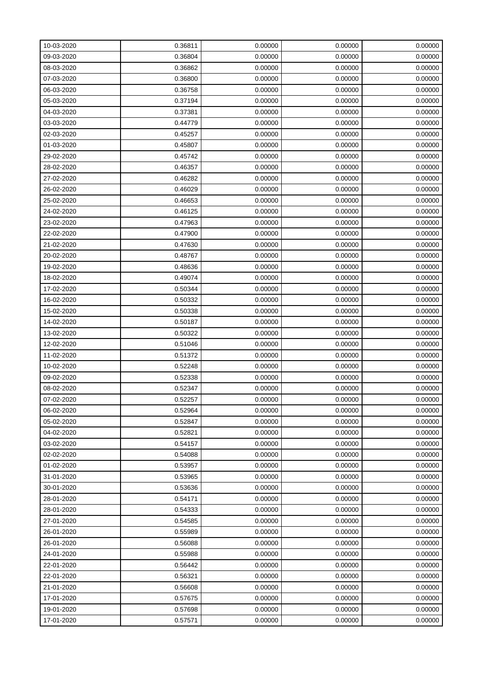| 10-03-2020 | 0.36811 | 0.00000 | 0.00000 | 0.00000 |
|------------|---------|---------|---------|---------|
| 09-03-2020 | 0.36804 | 0.00000 | 0.00000 | 0.00000 |
| 08-03-2020 | 0.36862 | 0.00000 | 0.00000 | 0.00000 |
| 07-03-2020 | 0.36800 | 0.00000 | 0.00000 | 0.00000 |
| 06-03-2020 | 0.36758 | 0.00000 | 0.00000 | 0.00000 |
| 05-03-2020 | 0.37194 | 0.00000 | 0.00000 | 0.00000 |
| 04-03-2020 | 0.37381 | 0.00000 | 0.00000 | 0.00000 |
| 03-03-2020 | 0.44779 | 0.00000 | 0.00000 | 0.00000 |
| 02-03-2020 | 0.45257 | 0.00000 | 0.00000 | 0.00000 |
| 01-03-2020 | 0.45807 | 0.00000 | 0.00000 | 0.00000 |
| 29-02-2020 | 0.45742 | 0.00000 | 0.00000 | 0.00000 |
| 28-02-2020 | 0.46357 | 0.00000 | 0.00000 | 0.00000 |
| 27-02-2020 | 0.46282 | 0.00000 | 0.00000 | 0.00000 |
| 26-02-2020 | 0.46029 | 0.00000 | 0.00000 | 0.00000 |
| 25-02-2020 | 0.46653 | 0.00000 | 0.00000 | 0.00000 |
| 24-02-2020 | 0.46125 | 0.00000 | 0.00000 | 0.00000 |
| 23-02-2020 | 0.47963 | 0.00000 | 0.00000 | 0.00000 |
| 22-02-2020 | 0.47900 | 0.00000 | 0.00000 | 0.00000 |
| 21-02-2020 | 0.47630 | 0.00000 | 0.00000 | 0.00000 |
| 20-02-2020 | 0.48767 | 0.00000 | 0.00000 | 0.00000 |
| 19-02-2020 | 0.48636 | 0.00000 | 0.00000 | 0.00000 |
| 18-02-2020 | 0.49074 | 0.00000 | 0.00000 | 0.00000 |
| 17-02-2020 | 0.50344 | 0.00000 | 0.00000 | 0.00000 |
| 16-02-2020 | 0.50332 | 0.00000 | 0.00000 | 0.00000 |
| 15-02-2020 | 0.50338 | 0.00000 | 0.00000 | 0.00000 |
| 14-02-2020 | 0.50187 | 0.00000 | 0.00000 | 0.00000 |
| 13-02-2020 | 0.50322 | 0.00000 | 0.00000 | 0.00000 |
| 12-02-2020 | 0.51046 | 0.00000 | 0.00000 | 0.00000 |
| 11-02-2020 | 0.51372 | 0.00000 | 0.00000 | 0.00000 |
| 10-02-2020 | 0.52248 | 0.00000 | 0.00000 | 0.00000 |
| 09-02-2020 | 0.52338 | 0.00000 | 0.00000 | 0.00000 |
| 08-02-2020 | 0.52347 | 0.00000 | 0.00000 | 0.00000 |
| 07-02-2020 | 0.52257 | 0.00000 | 0.00000 | 0.00000 |
| 06-02-2020 | 0.52964 | 0.00000 | 0.00000 | 0.00000 |
| 05-02-2020 | 0.52847 | 0.00000 | 0.00000 | 0.00000 |
| 04-02-2020 | 0.52821 | 0.00000 | 0.00000 | 0.00000 |
| 03-02-2020 | 0.54157 | 0.00000 | 0.00000 | 0.00000 |
| 02-02-2020 | 0.54088 | 0.00000 | 0.00000 | 0.00000 |
| 01-02-2020 | 0.53957 | 0.00000 | 0.00000 | 0.00000 |
| 31-01-2020 | 0.53965 | 0.00000 | 0.00000 | 0.00000 |
| 30-01-2020 | 0.53636 | 0.00000 | 0.00000 | 0.00000 |
| 28-01-2020 | 0.54171 | 0.00000 | 0.00000 | 0.00000 |
| 28-01-2020 | 0.54333 | 0.00000 | 0.00000 | 0.00000 |
| 27-01-2020 | 0.54585 | 0.00000 | 0.00000 | 0.00000 |
| 26-01-2020 | 0.55989 | 0.00000 | 0.00000 | 0.00000 |
| 26-01-2020 | 0.56088 | 0.00000 | 0.00000 | 0.00000 |
| 24-01-2020 | 0.55988 | 0.00000 | 0.00000 | 0.00000 |
| 22-01-2020 | 0.56442 | 0.00000 | 0.00000 | 0.00000 |
| 22-01-2020 | 0.56321 | 0.00000 | 0.00000 | 0.00000 |
| 21-01-2020 | 0.56608 | 0.00000 | 0.00000 | 0.00000 |
| 17-01-2020 | 0.57675 | 0.00000 | 0.00000 | 0.00000 |
| 19-01-2020 | 0.57698 | 0.00000 | 0.00000 | 0.00000 |
| 17-01-2020 | 0.57571 | 0.00000 | 0.00000 | 0.00000 |